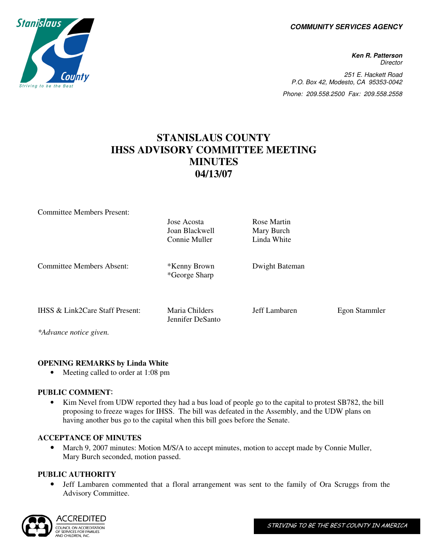**COMMUNITY SERVICES AGENCY** 

**Ken R. Patterson Director** 251 E. Hackett Road P.O. Box 42, Modesto, CA 95353-0042 Phone: 209.558.2500 Fax: 209.558.2558

# **STANISLAUS COUNTY IHSS ADVISORY COMMITTEE MEETING MINUTES 04/13/07**

| <b>Committee Members Present:</b> |                  |                |               |
|-----------------------------------|------------------|----------------|---------------|
|                                   | Jose Acosta      | Rose Martin    |               |
|                                   | Joan Blackwell   | Mary Burch     |               |
|                                   | Connie Muller    | Linda White    |               |
|                                   |                  |                |               |
| Committee Members Absent:         | *Kenny Brown     | Dwight Bateman |               |
|                                   | *George Sharp    |                |               |
|                                   |                  |                |               |
| IHSS & Link2Care Staff Present:   | Maria Childers   | Jeff Lambaren  | Egon Stammler |
|                                   | Jennifer DeSanto |                |               |
| *Advance notice given.            |                  |                |               |

## **OPENING REMARKS by Linda White**

• Meeting called to order at 1:08 pm

## **PUBLIC COMMENT**:

• Kim Nevel from UDW reported they had a bus load of people go to the capital to protest SB782, the bill proposing to freeze wages for IHSS. The bill was defeated in the Assembly, and the UDW plans on having another bus go to the capital when this bill goes before the Senate.

#### **ACCEPTANCE OF MINUTES**

• March 9, 2007 minutes: Motion M/S/A to accept minutes, motion to accept made by Connie Muller, Mary Burch seconded, motion passed.

#### **PUBLIC AUTHORITY**

• Jeff Lambaren commented that a floral arrangement was sent to the family of Ora Scruggs from the Advisory Committee.